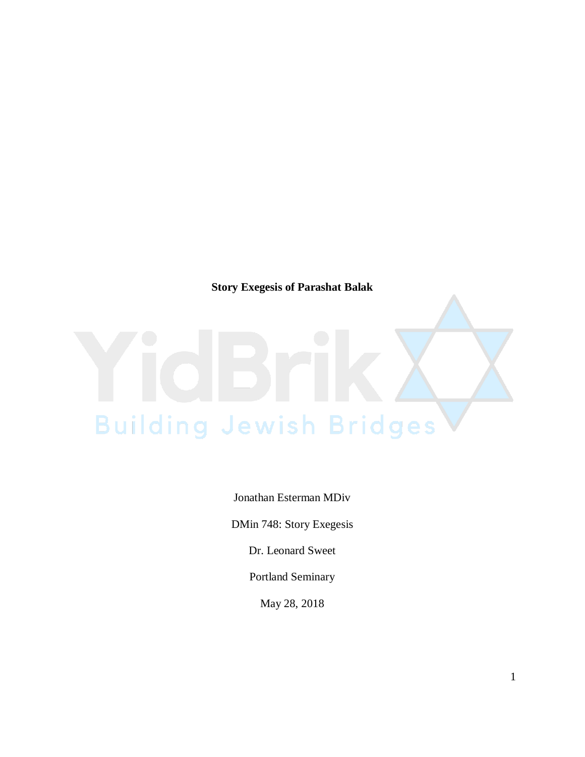**Story Exegesis of Parashat Balak**

## **Building Jewish Bridges**

Jonathan Esterman MDiv

DMin 748: Story Exegesis

Dr. Leonard Sweet

Portland Seminary

May 28, 2018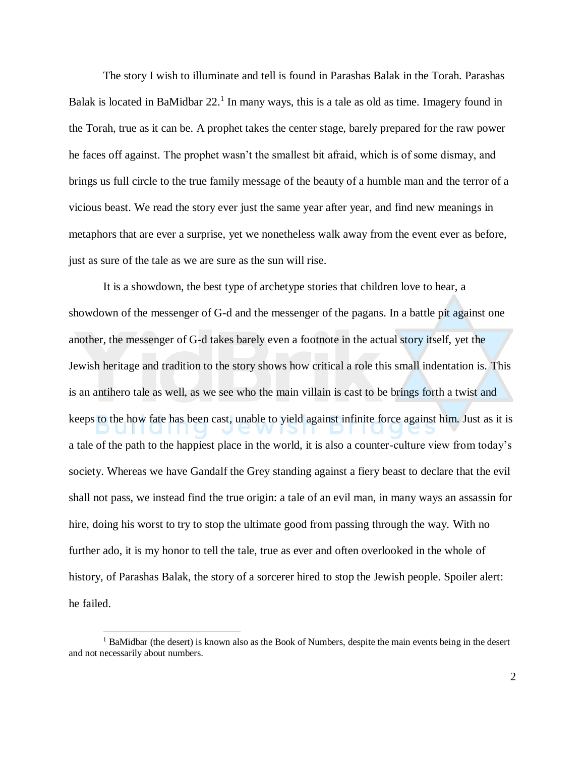The story I wish to illuminate and tell is found in Parashas Balak in the Torah. Parashas Balak is located in BaMidbar  $22<sup>1</sup>$  In many ways, this is a tale as old as time. Imagery found in the Torah, true as it can be. A prophet takes the center stage, barely prepared for the raw power he faces off against. The prophet wasn't the smallest bit afraid, which is of some dismay, and brings us full circle to the true family message of the beauty of a humble man and the terror of a vicious beast. We read the story ever just the same year after year, and find new meanings in metaphors that are ever a surprise, yet we nonetheless walk away from the event ever as before, just as sure of the tale as we are sure as the sun will rise.

It is a showdown, the best type of archetype stories that children love to hear, a showdown of the messenger of G-d and the messenger of the pagans. In a battle pit against one another, the messenger of G-d takes barely even a footnote in the actual story itself, yet the Jewish heritage and tradition to the story shows how critical a role this small indentation is. This is an antihero tale as well, as we see who the main villain is cast to be brings forth a twist and keeps to the how fate has been cast, unable to yield against infinite force against him. Just as it is a tale of the path to the happiest place in the world, it is also a counter-culture view from today's society. Whereas we have Gandalf the Grey standing against a fiery beast to declare that the evil shall not pass, we instead find the true origin: a tale of an evil man, in many ways an assassin for hire, doing his worst to try to stop the ultimate good from passing through the way. With no further ado, it is my honor to tell the tale, true as ever and often overlooked in the whole of history, of Parashas Balak, the story of a sorcerer hired to stop the Jewish people. Spoiler alert: he failed.

 $\overline{a}$ 

<sup>&</sup>lt;sup>1</sup> BaMidbar (the desert) is known also as the Book of Numbers, despite the main events being in the desert and not necessarily about numbers.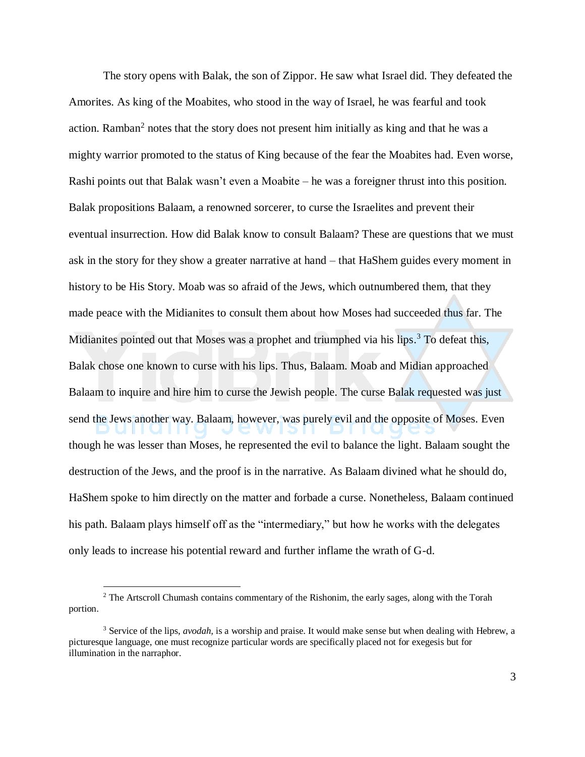The story opens with Balak, the son of Zippor. He saw what Israel did. They defeated the Amorites. As king of the Moabites, who stood in the way of Israel, he was fearful and took action. Ramban<sup>2</sup> notes that the story does not present him initially as king and that he was a mighty warrior promoted to the status of King because of the fear the Moabites had. Even worse, Rashi points out that Balak wasn't even a Moabite – he was a foreigner thrust into this position. Balak propositions Balaam, a renowned sorcerer, to curse the Israelites and prevent their eventual insurrection. How did Balak know to consult Balaam? These are questions that we must ask in the story for they show a greater narrative at hand – that HaShem guides every moment in history to be His Story. Moab was so afraid of the Jews, which outnumbered them, that they made peace with the Midianites to consult them about how Moses had succeeded thus far. The Midianites pointed out that Moses was a prophet and triumphed via his lips.<sup>3</sup> To defeat this, Balak chose one known to curse with his lips. Thus, Balaam. Moab and Midian approached Balaam to inquire and hire him to curse the Jewish people. The curse Balak requested was just send the Jews another way. Balaam, however, was purely evil and the opposite of Moses. Even though he was lesser than Moses, he represented the evil to balance the light. Balaam sought the destruction of the Jews, and the proof is in the narrative. As Balaam divined what he should do, HaShem spoke to him directly on the matter and forbade a curse. Nonetheless, Balaam continued his path. Balaam plays himself off as the "intermediary," but how he works with the delegates only leads to increase his potential reward and further inflame the wrath of G-d.

 $\overline{a}$ 

<sup>&</sup>lt;sup>2</sup> The Artscroll Chumash contains commentary of the Rishonim, the early sages, along with the Torah portion.

<sup>3</sup> Service of the lips, *avodah,* is a worship and praise. It would make sense but when dealing with Hebrew, a picturesque language, one must recognize particular words are specifically placed not for exegesis but for illumination in the narraphor.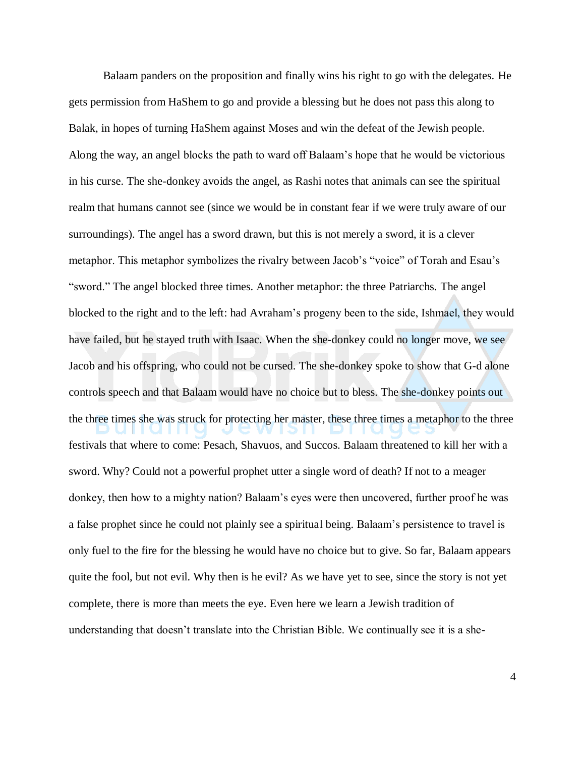Balaam panders on the proposition and finally wins his right to go with the delegates. He gets permission from HaShem to go and provide a blessing but he does not pass this along to Balak, in hopes of turning HaShem against Moses and win the defeat of the Jewish people. Along the way, an angel blocks the path to ward off Balaam's hope that he would be victorious in his curse. The she-donkey avoids the angel, as Rashi notes that animals can see the spiritual realm that humans cannot see (since we would be in constant fear if we were truly aware of our surroundings). The angel has a sword drawn, but this is not merely a sword, it is a clever metaphor. This metaphor symbolizes the rivalry between Jacob's "voice" of Torah and Esau's "sword." The angel blocked three times. Another metaphor: the three Patriarchs. The angel blocked to the right and to the left: had Avraham's progeny been to the side, Ishmael, they would have failed, but he stayed truth with Isaac. When the she-donkey could no longer move, we see Jacob and his offspring, who could not be cursed. The she-donkey spoke to show that G-d alone controls speech and that Balaam would have no choice but to bless. The she-donkey points out the three times she was struck for protecting her master, these three times a metaphor to the three festivals that where to come: Pesach, Shavuos, and Succos. Balaam threatened to kill her with a sword. Why? Could not a powerful prophet utter a single word of death? If not to a meager donkey, then how to a mighty nation? Balaam's eyes were then uncovered, further proof he was a false prophet since he could not plainly see a spiritual being. Balaam's persistence to travel is only fuel to the fire for the blessing he would have no choice but to give. So far, Balaam appears quite the fool, but not evil. Why then is he evil? As we have yet to see, since the story is not yet complete, there is more than meets the eye. Even here we learn a Jewish tradition of understanding that doesn't translate into the Christian Bible. We continually see it is a she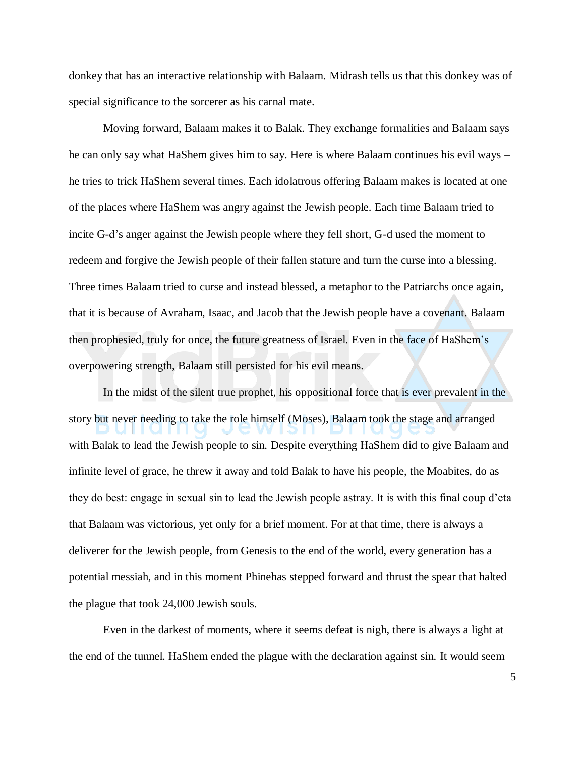donkey that has an interactive relationship with Balaam. Midrash tells us that this donkey was of special significance to the sorcerer as his carnal mate.

Moving forward, Balaam makes it to Balak. They exchange formalities and Balaam says he can only say what HaShem gives him to say. Here is where Balaam continues his evil ways – he tries to trick HaShem several times. Each idolatrous offering Balaam makes is located at one of the places where HaShem was angry against the Jewish people. Each time Balaam tried to incite G-d's anger against the Jewish people where they fell short, G-d used the moment to redeem and forgive the Jewish people of their fallen stature and turn the curse into a blessing. Three times Balaam tried to curse and instead blessed, a metaphor to the Patriarchs once again, that it is because of Avraham, Isaac, and Jacob that the Jewish people have a covenant. Balaam then prophesied, truly for once, the future greatness of Israel. Even in the face of HaShem's overpowering strength, Balaam still persisted for his evil means.

In the midst of the silent true prophet, his oppositional force that is ever prevalent in the story but never needing to take the role himself (Moses), Balaam took the stage and arranged with Balak to lead the Jewish people to sin. Despite everything HaShem did to give Balaam and infinite level of grace, he threw it away and told Balak to have his people, the Moabites, do as they do best: engage in sexual sin to lead the Jewish people astray. It is with this final coup d'eta that Balaam was victorious, yet only for a brief moment. For at that time, there is always a deliverer for the Jewish people, from Genesis to the end of the world, every generation has a potential messiah, and in this moment Phinehas stepped forward and thrust the spear that halted the plague that took 24,000 Jewish souls.

Even in the darkest of moments, where it seems defeat is nigh, there is always a light at the end of the tunnel. HaShem ended the plague with the declaration against sin. It would seem

5